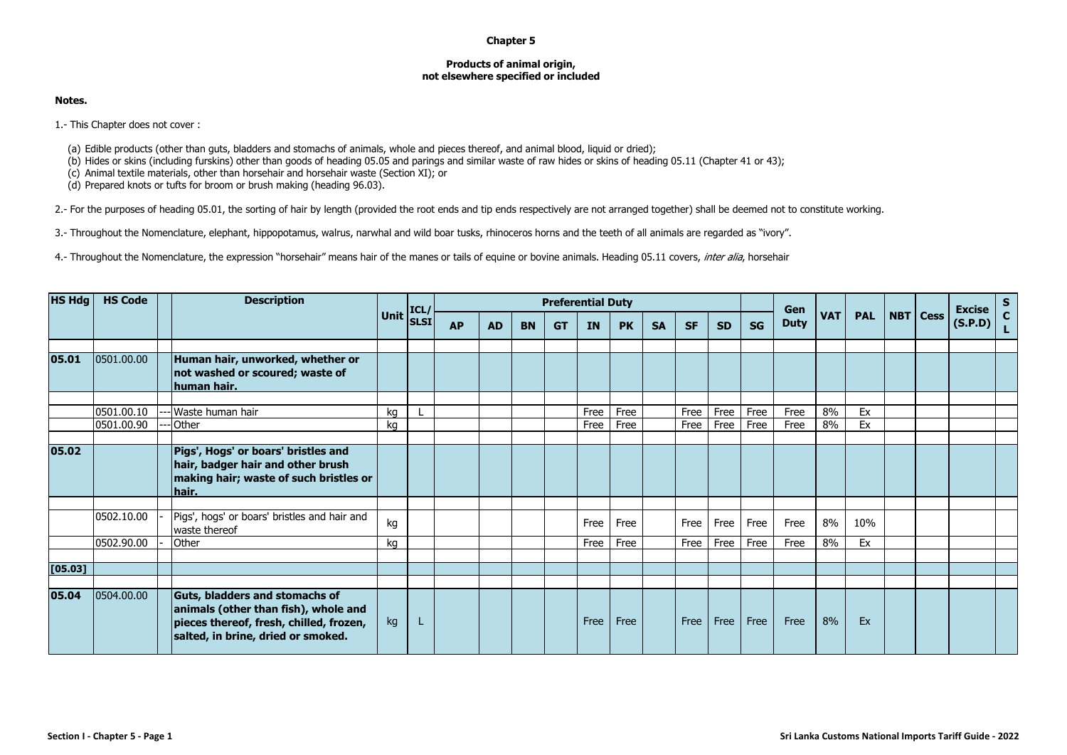## **Chapter 5**

## **Products of animal origin, not elsewhere specified or included**

## **Notes.**

1.- This Chapter does not cover :

- (a) Edible products (other than guts, bladders and stomachs of animals, whole and pieces thereof, and animal blood, liquid or dried);
- (b) Hides or skins (including furskins) other than goods of heading 05.05 and parings and similar waste of raw hides or skins of heading 05.11 (Chapter 41 or 43);
- (c) Animal textile materials, other than horsehair and horsehair waste (Section XI); or

(d) Prepared knots or tufts for broom or brush making (heading 96.03).

2.- For the purposes of heading 05.01, the sorting of hair by length (provided the root ends and tip ends respectively are not arranged together) shall be deemed not to constitute working.

3.- Throughout the Nomenclature, elephant, hippopotamus, walrus, narwhal and wild boar tusks, rhinoceros horns and the teeth of all animals are regarded as "ivory".

4.- Throughout the Nomenclature, the expression "horsehair" means hair of the manes or tails of equine or bovine animals. Heading 05.11 covers, inter alia, horsehair

| <b>HS Hdg</b> | <b>HS Code</b> |  | <b>Description</b>                                                                                                                                             |             | ICL<br><b>SLSI</b> | <b>Preferential Duty</b> |           |           |           |      |           |           |           |           |           | Gen         |            |            |          | <b>Excise</b> | $S_{C}$ |
|---------------|----------------|--|----------------------------------------------------------------------------------------------------------------------------------------------------------------|-------------|--------------------|--------------------------|-----------|-----------|-----------|------|-----------|-----------|-----------|-----------|-----------|-------------|------------|------------|----------|---------------|---------|
|               |                |  |                                                                                                                                                                | <b>Unit</b> |                    | <b>AP</b>                | <b>AD</b> | <b>BN</b> | <b>GT</b> | IN   | <b>PK</b> | <b>SA</b> | <b>SF</b> | <b>SD</b> | <b>SG</b> | <b>Duty</b> | <b>VAT</b> | <b>PAL</b> | NBT Cess | (S.P.D)       |         |
| 05.01         | 0501.00.00     |  | Human hair, unworked, whether or<br>not washed or scoured; waste of<br>human hair.                                                                             |             |                    |                          |           |           |           |      |           |           |           |           |           |             |            |            |          |               |         |
|               | 0501.00.10     |  | --- Waste human hair                                                                                                                                           | kg          |                    |                          |           |           |           | Free | Free      |           | Free      | Free      | Free      | Free        | 8%         | Ex         |          |               |         |
|               | 0501.00.90     |  | Other                                                                                                                                                          | kg          |                    |                          |           |           |           | Free | Free      |           | Free      | Free      | Free      | Free        | 8%         | Ex         |          |               |         |
|               |                |  |                                                                                                                                                                |             |                    |                          |           |           |           |      |           |           |           |           |           |             |            |            |          |               |         |
| 05.02         |                |  | Pigs', Hogs' or boars' bristles and<br>hair, badger hair and other brush<br>making hair; waste of such bristles or<br>hair.                                    |             |                    |                          |           |           |           |      |           |           |           |           |           |             |            |            |          |               |         |
|               |                |  |                                                                                                                                                                |             |                    |                          |           |           |           |      |           |           |           |           |           |             |            |            |          |               |         |
|               | 0502.10.00     |  | Pigs', hogs' or boars' bristles and hair and<br>waste thereof                                                                                                  | kg          |                    |                          |           |           |           | Free | Free      |           | Free      | Free      | Free      | Free        | 8%         | 10%        |          |               |         |
|               | 0502.90.00     |  | Other                                                                                                                                                          | kg          |                    |                          |           |           |           | Free | Free      |           | Free      | Free      | Free      | Free        | 8%         | Ex         |          |               |         |
|               |                |  |                                                                                                                                                                |             |                    |                          |           |           |           |      |           |           |           |           |           |             |            |            |          |               |         |
| [05.03]       |                |  |                                                                                                                                                                |             |                    |                          |           |           |           |      |           |           |           |           |           |             |            |            |          |               |         |
|               |                |  |                                                                                                                                                                |             |                    |                          |           |           |           |      |           |           |           |           |           |             |            |            |          |               |         |
| 05.04         | 0504.00.00     |  | <b>Guts, bladders and stomachs of</b><br>animals (other than fish), whole and<br>pieces thereof, fresh, chilled, frozen,<br>salted, in brine, dried or smoked. | kg          | L                  |                          |           |           |           | Free | Free      |           | Free      | Free      | Free      | Free        | 8%         | Ex         |          |               |         |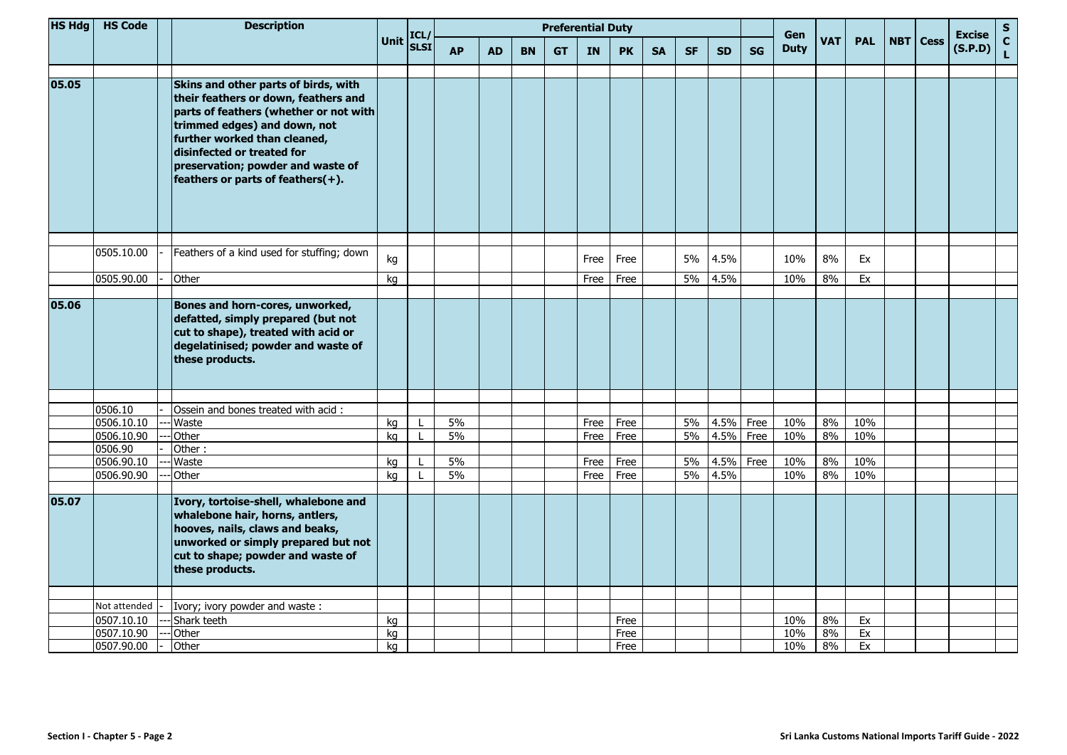| <b>HS Hdg</b> | <b>HS Code</b> | <b>Description</b> |                                                                                                                                                                                                                                                                                                    |    |                                                                 | <b>Preferential Duty</b> |           |           |           |      |           |           |           |           |           | Gen         |            |            |                   | <b>Excise</b> | $\mathbf S$                  |
|---------------|----------------|--------------------|----------------------------------------------------------------------------------------------------------------------------------------------------------------------------------------------------------------------------------------------------------------------------------------------------|----|-----------------------------------------------------------------|--------------------------|-----------|-----------|-----------|------|-----------|-----------|-----------|-----------|-----------|-------------|------------|------------|-------------------|---------------|------------------------------|
|               |                |                    |                                                                                                                                                                                                                                                                                                    |    | Unit $\begin{bmatrix} \text{ICL}/ \\ \text{SLSI} \end{bmatrix}$ | <b>AP</b>                | <b>AD</b> | <b>BN</b> | <b>GT</b> | IN   | <b>PK</b> | <b>SA</b> | <b>SF</b> | <b>SD</b> | <b>SG</b> | <b>Duty</b> | <b>VAT</b> | <b>PAL</b> | <b>NBT</b>   Cess | (S.P.D)       | $\mathbf{C}$<br>$\mathbf{L}$ |
| 05.05         |                |                    | Skins and other parts of birds, with<br>their feathers or down, feathers and<br>parts of feathers (whether or not with<br>trimmed edges) and down, not<br>further worked than cleaned,<br>disinfected or treated for<br>preservation; powder and waste of<br>feathers or parts of feathers $(+)$ . |    |                                                                 |                          |           |           |           |      |           |           |           |           |           |             |            |            |                   |               |                              |
|               | 0505.10.00     |                    | Feathers of a kind used for stuffing; down                                                                                                                                                                                                                                                         | kg |                                                                 |                          |           |           |           | Free | Free      |           | 5%        | 4.5%      |           | 10%         | 8%         | Ex         |                   |               |                              |
|               | 0505.90.00     |                    | Other                                                                                                                                                                                                                                                                                              | kg |                                                                 |                          |           |           |           | Free | Free      |           | 5%        | 4.5%      |           | 10%         | 8%         | Ex         |                   |               |                              |
|               |                |                    |                                                                                                                                                                                                                                                                                                    |    |                                                                 |                          |           |           |           |      |           |           |           |           |           |             |            |            |                   |               |                              |
| 05.06         |                |                    | Bones and horn-cores, unworked,<br>defatted, simply prepared (but not<br>cut to shape), treated with acid or<br>degelatinised; powder and waste of<br>these products.                                                                                                                              |    |                                                                 |                          |           |           |           |      |           |           |           |           |           |             |            |            |                   |               |                              |
|               | 0506.10        |                    | Ossein and bones treated with acid:                                                                                                                                                                                                                                                                |    |                                                                 |                          |           |           |           |      |           |           |           |           |           |             |            |            |                   |               |                              |
|               | 0506.10.10     |                    | Waste                                                                                                                                                                                                                                                                                              | kg |                                                                 | 5%                       |           |           |           | Free | Free      |           | 5%        | 4.5%      | Free      | 10%         | 8%         | 10%        |                   |               |                              |
|               | 0506.10.90     |                    | Other                                                                                                                                                                                                                                                                                              | kg |                                                                 | 5%                       |           |           |           | Free | Free      |           | 5%        | 4.5%      | Free      | 10%         | 8%         | 10%        |                   |               |                              |
|               | 0506.90        |                    | Other:                                                                                                                                                                                                                                                                                             |    |                                                                 |                          |           |           |           |      |           |           |           |           |           |             |            |            |                   |               |                              |
|               | 0506.90.10     |                    | Waste                                                                                                                                                                                                                                                                                              | kg |                                                                 | 5%                       |           |           |           | Free | Free      |           | 5%        | 4.5%      | Free      | 10%         | 8%         | 10%        |                   |               |                              |
|               | 0506.90.90     |                    | Other                                                                                                                                                                                                                                                                                              | kg |                                                                 | 5%                       |           |           |           | Free | Free      |           | 5%        | 4.5%      |           | 10%         | 8%         | 10%        |                   |               |                              |
| 05.07         |                |                    | Ivory, tortoise-shell, whalebone and<br>whalebone hair, horns, antlers,<br>hooves, nails, claws and beaks,<br>unworked or simply prepared but not<br>cut to shape; powder and waste of<br>these products.                                                                                          |    |                                                                 |                          |           |           |           |      |           |           |           |           |           |             |            |            |                   |               |                              |
|               |                |                    |                                                                                                                                                                                                                                                                                                    |    |                                                                 |                          |           |           |           |      |           |           |           |           |           |             |            |            |                   |               |                              |
|               | Not attended   |                    | Ivory; ivory powder and waste:                                                                                                                                                                                                                                                                     |    |                                                                 |                          |           |           |           |      |           |           |           |           |           |             |            |            |                   |               |                              |
|               | 0507.10.10     |                    | Shark teeth                                                                                                                                                                                                                                                                                        | kg |                                                                 |                          |           |           |           |      | Free      |           |           |           |           | 10%         | 8%         | Ex         |                   |               |                              |
|               | 0507.10.90     |                    | Other                                                                                                                                                                                                                                                                                              | kg |                                                                 |                          |           |           |           |      | Free      |           |           |           |           | 10%         | 8%         | Ex         |                   |               |                              |
|               | 0507.90.00     |                    | Other                                                                                                                                                                                                                                                                                              | kg |                                                                 |                          |           |           |           |      | Free      |           |           |           |           | 10%         | 8%         | Ex         |                   |               |                              |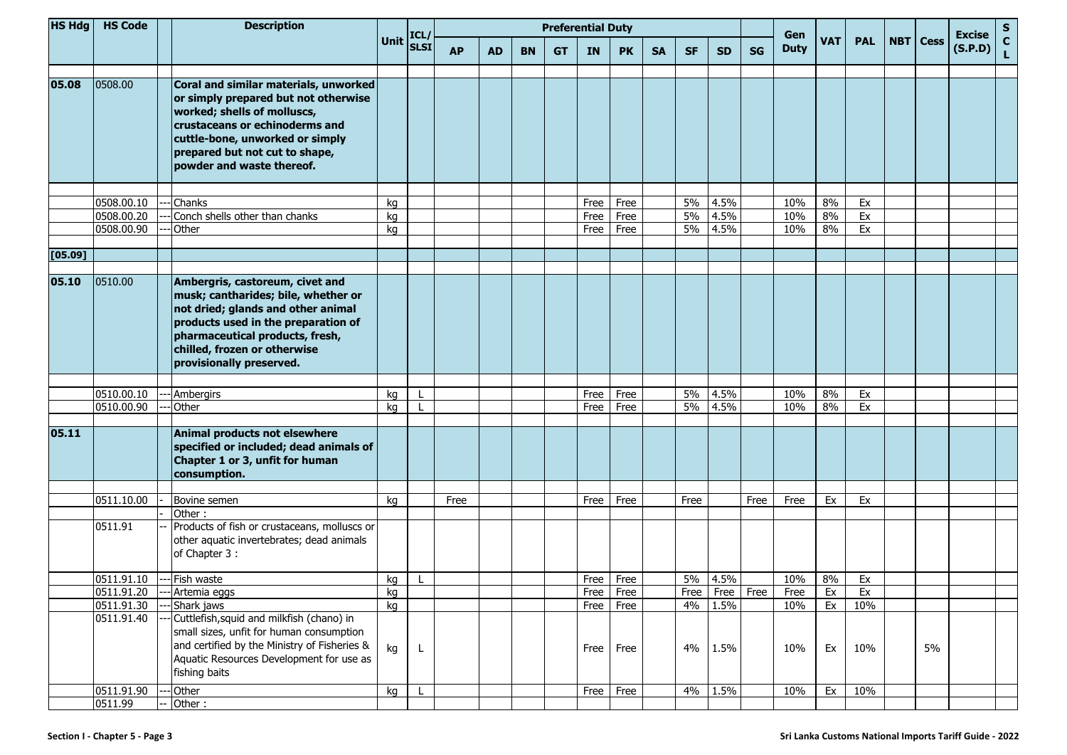| HS Hdg  | <b>HS Code</b> | <b>Description</b>                                                                                                                                                                                                                                 | Unit ICL/ | <b>SLSI</b>  | <b>Preferential Duty</b> |           |           |           |           |           |           |           |                |           | Gen         |            |            |            |             | <b>Excise</b> | S           |
|---------|----------------|----------------------------------------------------------------------------------------------------------------------------------------------------------------------------------------------------------------------------------------------------|-----------|--------------|--------------------------|-----------|-----------|-----------|-----------|-----------|-----------|-----------|----------------|-----------|-------------|------------|------------|------------|-------------|---------------|-------------|
|         |                |                                                                                                                                                                                                                                                    |           |              | <b>AP</b>                | <b>AD</b> | <b>BN</b> | <b>GT</b> | <b>IN</b> | <b>PK</b> | <b>SA</b> | <b>SF</b> | <b>SD</b>      | <b>SG</b> | <b>Duty</b> | <b>VAT</b> | <b>PAL</b> | <b>NBT</b> | <b>Cess</b> | (S.P.D)       | $\mathbf c$ |
| 05.08   | 0508.00        | Coral and similar materials, unworked<br>or simply prepared but not otherwise<br>worked; shells of molluscs,<br>crustaceans or echinoderms and<br>cuttle-bone, unworked or simply<br>prepared but not cut to shape,<br>powder and waste thereof.   |           |              |                          |           |           |           |           |           |           |           |                |           |             |            |            |            |             |               |             |
|         |                |                                                                                                                                                                                                                                                    |           |              |                          |           |           |           |           |           |           |           |                |           |             |            |            |            |             |               |             |
|         | 0508.00.10     | Chanks                                                                                                                                                                                                                                             | kg        |              |                          |           |           |           | Free      | Free      |           | 5%        | 4.5%           |           | 10%         | 8%         | Ex         |            |             |               |             |
|         | 0508.00.20     | Conch shells other than chanks                                                                                                                                                                                                                     | kg        |              |                          |           |           |           | Free      | Free      |           | 5%        | 4.5%           |           | 10%         | 8%         | Ex         |            |             |               |             |
|         | 0508.00.90     | Other                                                                                                                                                                                                                                              | kg        |              |                          |           |           |           | Free      | Free      |           | 5%        | 4.5%           |           | 10%         | 8%         | Ex         |            |             |               |             |
| [05.09] |                |                                                                                                                                                                                                                                                    |           |              |                          |           |           |           |           |           |           |           |                |           |             |            |            |            |             |               |             |
| 05.10   | 0510.00        | Ambergris, castoreum, civet and<br>musk; cantharides; bile, whether or<br>not dried; glands and other animal<br>products used in the preparation of<br>pharmaceutical products, fresh,<br>chilled, frozen or otherwise<br>provisionally preserved. |           |              |                          |           |           |           |           |           |           |           |                |           |             |            |            |            |             |               |             |
|         |                |                                                                                                                                                                                                                                                    |           |              |                          |           |           |           |           |           |           |           |                |           |             |            |            |            |             |               |             |
|         | 0510.00.10     | <b>Ambergirs</b>                                                                                                                                                                                                                                   | kg        |              |                          |           |           |           | Free      | Free      |           | 5%        | 4.5%           |           | 10%         | 8%         | Ex         |            |             |               |             |
|         | 0510.00.90     | Other                                                                                                                                                                                                                                              | kg        |              |                          |           |           |           | Free      | Free      |           | 5%        | 4.5%           |           | 10%         | 8%         | Ex         |            |             |               |             |
| 05.11   |                | Animal products not elsewhere<br>specified or included; dead animals of<br>Chapter 1 or 3, unfit for human<br>consumption.                                                                                                                         |           |              |                          |           |           |           |           |           |           |           |                |           |             |            |            |            |             |               |             |
|         | 0511.10.00     | Bovine semen                                                                                                                                                                                                                                       | kg        |              | Free                     |           |           |           | Free      | Free      |           | Free      |                | Free      | Free        | Ex         | Ex         |            |             |               |             |
|         |                | Other:                                                                                                                                                                                                                                             |           |              |                          |           |           |           |           |           |           |           |                |           |             |            |            |            |             |               |             |
|         | 0511.91        | Products of fish or crustaceans, molluscs or<br>other aquatic invertebrates; dead animals<br>of Chapter 3:                                                                                                                                         |           |              |                          |           |           |           |           |           |           |           |                |           |             |            |            |            |             |               |             |
|         | 0511.91.10     | Fish waste                                                                                                                                                                                                                                         | kg        |              |                          |           |           |           | Free      | Free      |           | 5%        | 4.5%           |           | 10%         | 8%         | Ex         |            |             |               |             |
|         | 0511.91.20     | -- Artemia eggs                                                                                                                                                                                                                                    | kg        |              |                          |           |           |           | Free Free |           |           |           | Free Free Free |           | Free        | Ex         | Ex         |            |             |               |             |
|         | 0511.91.30     | -Shark jaws                                                                                                                                                                                                                                        | kg        |              |                          |           |           |           | Free      | Free      |           | 4%        | 1.5%           |           | 10%         | Ex         | 10%        |            |             |               |             |
|         | 0511.91.40     | Cuttlefish, squid and milkfish (chano) in<br>small sizes, unfit for human consumption<br>and certified by the Ministry of Fisheries &<br>Aquatic Resources Development for use as<br>fishing baits                                                 | kg        |              |                          |           |           |           | Free      | Free      |           | 4%        | 1.5%           |           | 10%         | Ex         | 10%        |            | 5%          |               |             |
|         | 0511.91.90     | - Other                                                                                                                                                                                                                                            | kg        | $\mathsf{L}$ |                          |           |           |           | Free      | Free      |           |           | 4% 1.5%        |           | 10%         | Ex         | 10%        |            |             |               |             |
|         | 0511.99        | Other:                                                                                                                                                                                                                                             |           |              |                          |           |           |           |           |           |           |           |                |           |             |            |            |            |             |               |             |